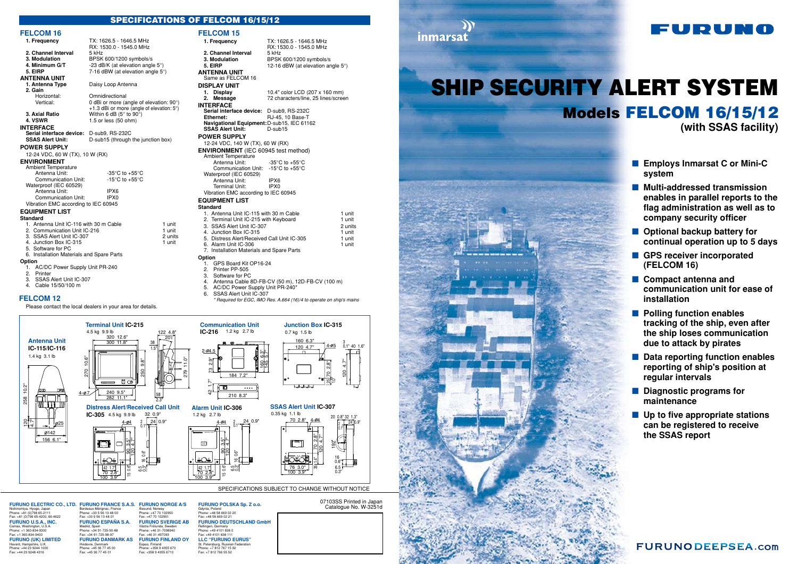07103SS Printed in Japan



## Catalogue No. W-3251d

inmarsat

SPECIFICATIONS SUBJECT TO CHANGE WITHOUT NOTICE

### SPECIFICATIONS OF FELCOM 16/15/12



- 2. Printer
- 
- 3. SSAS Alert Unit IC-307 Cable 15/50/100 m
- 

#### **FELCOM 16**

| FELUUM 10                                 |                                                      |         |
|-------------------------------------------|------------------------------------------------------|---------|
| 1. Frequency                              | TX: 1626.5 - 1646.5 MHz                              |         |
|                                           | RX: 1530.0 - 1545.0 MHz                              |         |
| 2. Channel Interval                       | 5 kHz                                                |         |
| 3. Modulation                             | BPSK 600/1200 symbols/s                              |         |
| 4. Minimum G/T                            | -23 dB/K (at elevation angle $5^{\circ}$ )           |         |
| 5. EIRP                                   | 7-16 dBW (at elevation angle 5°)                     |         |
| <b>ANTENNA UNIT</b>                       |                                                      |         |
| 1. Antenna Type                           | Daisy Loop Antenna                                   |         |
| 2. Gain                                   |                                                      |         |
| Horizontal:                               | Omnidirectional                                      |         |
| Vertical:                                 | 0 dBi or more (angle of elevation: 90°               |         |
|                                           | +1.3 dBi or more (angle of elevation: $5^{\circ}$ )  |         |
| 3. Axial Ratio                            | Within 6 dB $(5^{\circ}$ to 90°)                     |         |
| 4. VSWR                                   | 1.5 or less (50 ohm)                                 |         |
| <b>INTERFACE</b>                          |                                                      |         |
| Serial interface device:                  | D-sub9, RS-232C                                      |         |
| <b>SSAS Alert Unit:</b>                   | D-sub15 (through the junction box)                   |         |
| <b>POWER SUPPLY</b>                       |                                                      |         |
| 12-24 VDC, 60 W (TX), 10 W (RX)           |                                                      |         |
| <b>ENVIRONMENT</b>                        |                                                      |         |
| <b>Ambient Temperature</b>                |                                                      |         |
| Antenna Unit:                             | -35 $\mathrm{^{\circ}C}$ to +55 $\mathrm{^{\circ}C}$ |         |
| <b>Communication Unit:</b>                | -15 $\mathrm{^{\circ}C}$ to +55 $\mathrm{^{\circ}C}$ |         |
| Waterproof (IEC 60529)                    |                                                      |         |
| Antenna Unit:                             | IPX <sub>6</sub>                                     |         |
| Communication Unit:                       | IPX <sub>0</sub>                                     |         |
| Vibration EMC according to IEC 60945      |                                                      |         |
| <b>EQUIPMENT LIST</b>                     |                                                      |         |
| <b>Standard</b>                           |                                                      |         |
| 1. Antenna Unit IC-116 with 30 m Cable    |                                                      | 1 unit  |
| 2. Communication Unit IC-216              |                                                      | 1 unit  |
| 3. SSAS Alert Unit IC-307                 |                                                      | 2 units |
| 4. Junction Box IC-315                    |                                                      | 1 unit  |
| 5. Software for PC                        |                                                      |         |
| 6. Installation Materials and Spare Parts |                                                      |         |
| Option                                    |                                                      |         |
| 1. AC/DC Power Supply Unit PR-240         |                                                      |         |

- **Employs Inmarsat C or Mini-C system**
- **Multi-addressed transmission enables in parallel reports to the flag administration as well as to company security officer**
- **Optional backup battery for continual operation up to 5 days**
- GPS receiver incorporated **(FELCOM 16)**
- **Compact antenna and communication unit for ease of installation**
- **Polling function enables tracking of the ship, even after the ship loses communication due to attack by pirates**
- **Data reporting function enables reporting of ship's position at regular intervals**
- **Diagnostic programs for maintenance**
- Up to five appropriate stations **can be registered to receive the SSAS report**

## **FURUNODEEPSEA.com**

Please contact the local dealers in your area for details.

Havant, Ham Phone: +44 23 9244 1000 Fax: +44 23 9248 4316

# SHIP SECURITY ALERT SYSTEM Models FELCOM 16/15/12 **(with SSAS facility)**





- 
- 5. AC/DC Power Supply Unit PR-240\*
- 6. SSAS Alert Unit IC-307
	- *\* Required for EGC, IMO Res. A.664 (16)/4 to operate on ship's mains*

#### **FELCOM 12**

**FURUNO U.S.A., INC.** Camas, Washington, U.S.A. Phone: +1 360-834-9300 Fax: +1 360-834-9400

Nishinomiya, Hyogo, Japan Phone: +81 (0)798 65-2111 Fax: +81 (0)798 65-4200, 66-4622

**FURUNO (UK) LIMITED**

#### Bordeaux-Mérignac, France Phone: +33 5 56 13 48 00 Fax: +33 5 56 13 48 01 **FURUNO ESPAÑA S.A.** Madrid, Spain Phone: +34 91-725-90-88 Fax: +34 91-725-98-97 **FURUNO DANMARK AS** Hvidovre, Den Phone: +45 36 77 45 00 Fax: +45 36 77 45 01

**FURUNO ELECTRIC CO., LTD. FURUNO FRANCE S.A.S. FURUNO NORGE A/S** Ålesund, Norway Phone: +47 70 102950 Fax: +47 70 102951 **FURUNO SVERIGE AB** Västra Frölunda, Sweden Phone: +46 31-7098940 Fax: +46 31-497093 **FURUNO FINLAND OY** Espoo, Finland Phone: +358 9 4355 670 Fax: +358 9 4355 6710

**FURUNO POLSKA Sp. Z o.o.** Gdynia, Poland Phone: +48 58 669 02 20 Fax: +48 58 669 02 21 **FURUNO DEUTSCHLAND GmbH** Rellingen, Germany Phone: +49 4101 838 0 Fax: +49 4101 838 111 **LLC "FURUNO EURUS"** St. Petersburg, Russian Federa Phone: +7 812 767 15 92 Fax: +7 812 766 55 52